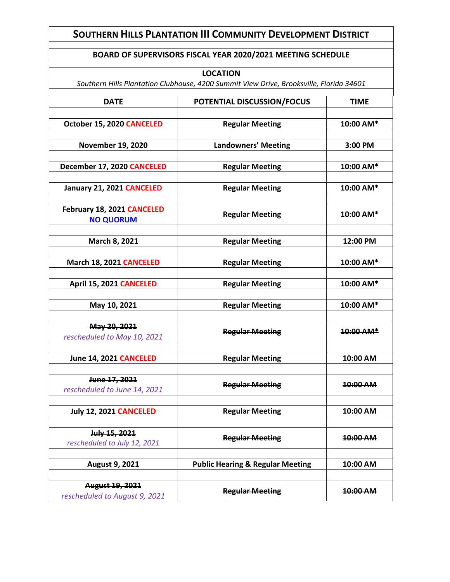## **SOUTHERN HILLS PLANTATION III COMMUNITY DEVELOPMENT DISTRICT**

## **BOARD OF SUPERVISORS FISCAL YEAR 2020/2021 MEETING SCHEDULE**

|                                                  | <b>LOCATION</b>                                                                         |             |
|--------------------------------------------------|-----------------------------------------------------------------------------------------|-------------|
|                                                  | Southern Hills Plantation Clubhouse, 4200 Summit View Drive, Brooksville, Florida 34601 |             |
| <b>DATE</b>                                      | POTENTIAL DISCUSSION/FOCUS                                                              | <b>TIME</b> |
| October 15, 2020 CANCELED                        | <b>Regular Meeting</b>                                                                  | 10:00 AM*   |
| <b>November 19, 2020</b>                         | <b>Landowners' Meeting</b>                                                              | 3:00 PM     |
| December 17, 2020 CANCELED                       | <b>Regular Meeting</b>                                                                  | 10:00 AM*   |
| January 21, 2021 CANCELED                        | <b>Regular Meeting</b>                                                                  | 10:00 AM*   |
| February 18, 2021 CANCELED<br><b>NO QUORUM</b>   | <b>Regular Meeting</b>                                                                  | 10:00 AM*   |
| March 8, 2021                                    | <b>Regular Meeting</b>                                                                  | 12:00 PM    |
| March 18, 2021 CANCELED                          | <b>Regular Meeting</b>                                                                  | 10:00 AM*   |
| April 15, 2021 CANCELED                          | <b>Regular Meeting</b>                                                                  | 10:00 AM*   |
| May 10, 2021                                     | <b>Regular Meeting</b>                                                                  | 10:00 AM*   |
| May 20, 2021<br>rescheduled to May 10, 2021      | <b>Regular Meeting</b>                                                                  | 10:00 AM*   |
| June 14, 2021 CANCELED                           | <b>Regular Meeting</b>                                                                  | 10:00 AM    |
| June 17, 2021<br>rescheduled to June 14, 2021    | <b>Regular Meeting</b>                                                                  | 10:00 AM    |
| <b>July 12, 2021 CANCELED</b>                    | <b>Regular Meeting</b>                                                                  | 10:00 AM    |
| July 15, 2021<br>rescheduled to July 12, 2021    | <b>Regular Meeting</b>                                                                  | 10:00 AM    |
| <b>August 9, 2021</b>                            | <b>Public Hearing &amp; Regular Meeting</b>                                             | 10:00 AM    |
| August 19, 2021<br>rescheduled to August 9, 2021 | <b>Regular Meeting</b>                                                                  | 10:00 AM    |